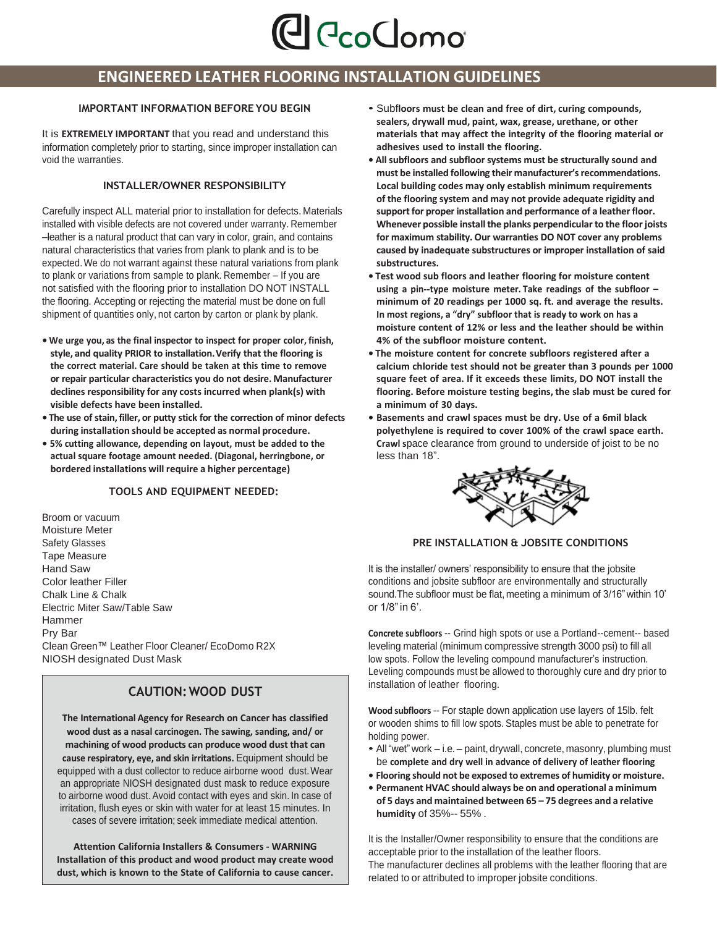

# **ENGINEERED LEATHER FLOORING INSTALLATION GUIDELINES**

It is **EXTREMELY IMPORTANT** that you read and understand this information completely prior to starting, since improper installation can void the warranties.

# **INSTALLER/OWNER RESPONSIBILITY**

Carefully inspect ALL material prior to installation for defects. Materials installed with visible defects are not covered under warranty. Remember –leather is a natural product that can vary in color, grain, and contains natural characteristics that varies from plank to plank and is to be expected.We do not warrant against these natural variations from plank to plank or variations from sample to plank. Remember – If you are not satisfied with the flooring prior to installation DO NOT INSTALL the flooring. Accepting or rejecting the material must be done on full shipment of quantities only, not carton by carton or plank by plank.

- **• We urge you, as the final inspector to inspect for proper color, finish, style, and quality PRIOR to installation.Verify that the flooring is the correct material. Care should be taken at this time to remove or repair particular characteristics you do not desire. Manufacturer declines responsibility for any costs incurred when plank(s) with visible defects have been installed.**
- **• The use of stain,filler, or putty stick for the correction of minor defects during installation should be accepted as normal procedure.**
- **• 5% cutting allowance, depending on layout, must be added to the actual square footage amount needed. (Diagonal, herringbone, or bordered installations will require a higher percentage)**

# **TOOLS AND EQUIPMENT NEEDED:**

Broom or vacuum Moisture Meter Safety Glasses Tape Measure Hand Saw Color leather Filler Chalk Line & Chalk Electric Miter Saw/Table Saw Hammer Pry Bar Clean Green™ Leather Floor Cleaner/ EcoDomo R2X NIOSH designated Dust Mask

# **CAUTION:WOOD DUST**

**The International Agency for Research on Cancer has classified wood dust as a nasal carcinogen. The sawing, sanding, and/ or machining of wood products can produce wood dust that can cause respiratory, eye, and skin irritations.** Equipment should be equipped with a dust collector to reduce airborne wood dust.Wear an appropriate NIOSH designated dust mask to reduce exposure to airborne wood dust. Avoid contact with eyes and skin. In case of irritation, flush eyes or skin with water for at least 15 minutes. In cases of severe irritation; seek immediate medical attention.

**Attention California Installers & Consumers - WARNING Installation of this product and wood product may create wood dust, which is known to the State of California to cause cancer.**

- **IMPORTANT INFORMATION BEFORE YOU BEGIN** Subf**loors must be clean and free of dirt, curing compounds, sealers, drywall mud, paint, wax, grease, urethane, or other materials that may affect the integrity of the flooring material or adhesives used to install the flooring.**
	- **• All subfloors and subfloor systems must be structurally sound and must be installed following their manufacturer'srecommendations. Local building codes may only establish minimum requirements of the flooring system and may not provide adequate rigidity and supportfor proper installation and performance of a leather floor. Whenever possible installthe planks perpendicular to the floor joists for maximum stability. Our warranties DO NOT cover any problems caused by inadequate substructures or improper installation of said substructures.**
	- **• Test wood sub floors and leather flooring for moisture content using a pin--type moisture meter. Take readings of the subfloor – minimum of 20 readings per 1000 sq. ft. and average the results. In most regions, a "dry" subfloor that is ready to work on has a moisture content of 12% or less and the leather should be within 4% of the subfloor moisture content.**
	- **• The moisture content for concrete subfloors registered after a calcium chloride test should not be greater than 3 pounds per 1000 square feet of area. If it exceeds these limits, DO NOT install the flooring. Before moisture testing begins, the slab must be cured for a minimum of 30 days.**
	- **• Basements and crawl spaces must be dry. Use of a 6mil black polyethylene is required to cover 100% of the crawl space earth. Crawl s**pace clearance from ground to underside of joist to be no less than 18".



# **PRE INSTALLATION & JOBSITE CONDITIONS**

It is the installer/ owners' responsibility to ensure that the jobsite conditions and jobsite subfloor are environmentally and structurally sound. The subfloor must be flat, meeting a minimum of 3/16" within 10' or 1/8"in 6'.

**Concrete subfloors** -- Grind high spots or use a Portland--cement-- based leveling material (minimum compressive strength 3000 psi) to fill all low spots. Follow the leveling compound manufacturer's instruction. Leveling compounds must be allowed to thoroughly cure and dry prior to installation of leather flooring.

**Wood subfloors** -- For staple down application use layers of 15lb. felt or wooden shims to fill low spots. Staples must be able to penetrate for holding power.

- All "wet" work i.e. paint, drywall, concrete, masonry, plumbing must be **complete and dry well in advance of delivery of leather flooring**
- **• Flooring should not be exposed to extremes of humidity or moisture.**
- **• Permanent HVAC should always be on and operational a minimum of 5 days and maintained between 65 – 75 degrees and a relative humidity** of 35%-- 55% .

It is the Installer/Owner responsibility to ensure that the conditions are acceptable prior to the installation of the leather floors. The manufacturer declines all problems with the leather flooring that are related to or attributed to improper jobsite conditions.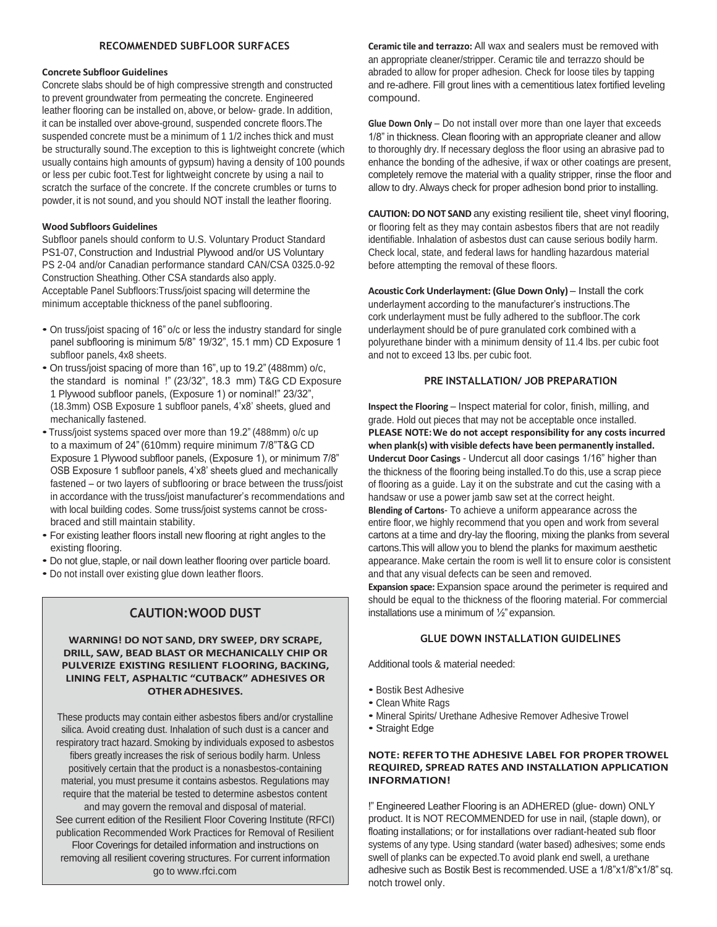### **Concrete Subfloor Guidelines**

Concrete slabs should be of high compressive strength and constructed to prevent groundwater from permeating the concrete. Engineered leather flooring can be installed on, above, or below- grade. In addition, it can be installed over above-ground, suspended concrete floors.The suspended concrete must be a minimum of 1 1/2 inches thick and must be structurally sound.The exception to this is lightweight concrete (which usually contains high amounts of gypsum) having a density of 100 pounds or less per cubic foot.Test for lightweight concrete by using a nail to scratch the surface of the concrete. If the concrete crumbles or turns to powder, it is not sound, and you should NOT install the leather flooring.

# **Wood Subfloors Guidelines**

Subfloor panels should conform to U.S. Voluntary Product Standard PS1-07, Construction and Industrial Plywood and/or US Voluntary PS 2-04 and/or Canadian performance standard CAN/CSA 0325.0-92 Construction Sheathing. Other CSA standards also apply. Acceptable Panel Subfloors:Truss/joist spacing will determine the minimum acceptable thickness of the panel subflooring.

- On truss/joist spacing of 16" o/c or less the industry standard for single panel subflooring is minimum 5/8" 19/32", 15.1 mm) CD Exposure 1 subfloor panels, 4x8 sheets.
- On truss/joist spacing of more than 16", up to 19.2"(488mm) o/c, the standard is nominal !" (23/32", 18.3 mm) T&G CD Exposure 1 Plywood subfloor panels, (Exposure 1) or nominal!" 23/32", (18.3mm) OSB Exposure 1 subfloor panels, 4'x8' sheets, glued and mechanically fastened.
- •Truss/joist systems spaced over more than 19.2" (488mm) o/c up to a maximum of 24"(610mm) require minimum 7/8"T&G CD Exposure 1 Plywood subfloor panels, (Exposure 1), or minimum 7/8" OSB Exposure 1 subfloor panels, 4'x8' sheets glued and mechanically fastened – or two layers of subflooring or brace between the truss/joist in accordance with the truss/joist manufacturer's recommendations and with local building codes. Some truss/joist systems cannot be crossbraced and still maintain stability.
- For existing leather floors install new flooring at right angles to the existing flooring.
- Do not glue, staple, or nail down leather flooring over particle board.
- Do not install over existing glue down leather floors.

# **CAUTION:WOOD DUST**

# **WARNING! DO NOT SAND, DRY SWEEP, DRY SCRAPE, DRILL, SAW, BEAD BLAST OR MECHANICALLY CHIP OR PULVERIZE EXISTING RESILIENT FLOORING, BACKING, LINING FELT, ASPHALTIC "CUTBACK" ADHESIVES OR OTHERADHESIVES.**

These products may contain either asbestos fibers and/or crystalline silica. Avoid creating dust. Inhalation of such dust is a cancer and respiratory tract hazard. Smoking by individuals exposed to asbestos fibers greatly increases the risk of serious bodily harm. Unless positively certain that the product is a nonasbestos-containing material, you must presume it contains asbestos. Regulations may require that the material be tested to determine asbestos content and may govern the removal and disposal of material. See current edition of the Resilient Floor Covering Institute (RFCI) publication Recommended Work Practices for Removal of Resilient Floor Coverings for detailed information and instructions on removing all resilient covering structures. For current information go to [www.rfci.com](http://www.rfci.com/)

**RECOMMENDED SUBFLOOR SURFACES Ceramic tile and terrazzo:** All wax and sealers must be removed with an appropriate cleaner/stripper. Ceramic tile and terrazzo should be abraded to allow for proper adhesion. Check for loose tiles by tapping and re-adhere. Fill grout lines with a cementitious latex fortified leveling compound.

> **Glue Down Only** – Do not install over more than one layer that exceeds 1/8" in thickness. Clean flooring with an appropriate cleaner and allow to thoroughly dry. If necessary degloss the floor using an abrasive pad to enhance the bonding of the adhesive, if wax or other coatings are present, completely remove the material with a quality stripper, rinse the floor and allow to dry. Always check for proper adhesion bond prior to installing.

> **CAUTION: DO NOT SAND** any existing resilient tile, sheet vinyl flooring, or flooring felt as they may contain asbestos fibers that are not readily identifiable. Inhalation of asbestos dust can cause serious bodily harm. Check local, state, and federal laws for handling hazardous material before attempting the removal of these floors.

**Acoustic Cork Underlayment: (Glue Down Only)** – Install the cork underlayment according to the manufacturer's instructions.The cork underlayment must be fully adhered to the subfloor.The cork underlayment should be of pure granulated cork combined with a polyurethane binder with a minimum density of 11.4 lbs. per cubic foot and not to exceed 13 lbs. per cubic foot.

# **PRE INSTALLATION/ JOB PREPARATION**

**Inspect the Flooring – Inspect material for color, finish, milling, and** grade. Hold out pieces that may not be acceptable once installed. **PLEASE NOTE:We do not accept responsibility for any costs incurred when plank(s) with visible defects have been permanently installed. Undercut Door Casings** - Undercut all door casings 1/16" higher than the thickness of the flooring being installed.To do this, use a scrap piece of flooring as a guide. Lay it on the substrate and cut the casing with a handsaw or use a power jamb saw set at the correct height. **Blending of Cartons**- To achieve a uniform appearance across the entire floor, we highly recommend that you open and work from several cartons at a time and dry-lay the flooring, mixing the planks from several

cartons.This will allow you to blend the planks for maximum aesthetic appearance. Make certain the room is well lit to ensure color is consistent and that any visual defects can be seen and removed.

**Expansion space:** Expansion space around the perimeter is required and should be equal to the thickness of the flooring material. For commercial installations use a minimum of  $\frac{1}{2}$ " expansion.

# **GLUE DOWN INSTALLATION GUIDELINES**

Additional tools & material needed:

- Bostik Best Adhesive
- Clean White Rags
- Mineral Spirits/ Urethane Adhesive Remover Adhesive Trowel
- Straight Edge

# **NOTE: REFERTOTHE ADHESIVE LABEL FOR PROPER TROWEL REQUIRED, SPREAD RATES AND INSTALLATION APPLICATION INFORMATION!**

!" Engineered Leather Flooring is an ADHERED (glue- down) ONLY product. It is NOT RECOMMENDED for use in nail, (staple down), or floating installations; or for installations over radiant-heated sub floor systems of any type. Using standard (water based) adhesives; some ends swell of planks can be expected.To avoid plank end swell, a urethane adhesive such as Bostik Best is recommended. USE a 1/8"x1/8"x1/8" sq. notch trowel only.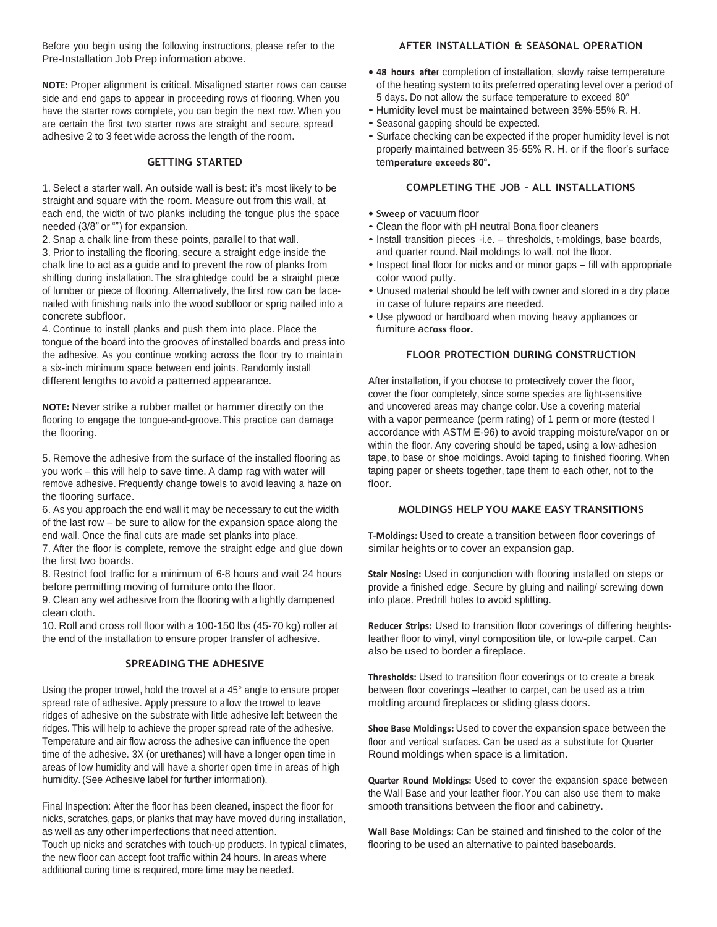Before you begin using the following instructions, please refer to the **AFTER INSTALLATION & SEASONAL OPERATION** Pre-Installation Job Prep information above.

**NOTE:** Proper alignment is critical. Misaligned starter rows can cause side and end gaps to appear in proceeding rows of flooring. When you have the starter rows complete, you can begin the next row. When you are certain the first two starter rows are straight and secure, spread adhesive 2 to 3 feet wide across the length of the room.

# **GETTING STARTED**

1. Select a starter wall. An outside wall is best: it's most likely to be **COMPLETING THE JOB – ALL INSTALLATIONS** straight and square with the room. Measure out from this wall, at each end, the width of two planks including the tongue plus the space needed (3/8" or "") for expansion.

2. Snap a chalk line from these points, parallel to that wall. 3. Prior to installing the flooring, secure a straight edge inside the chalk line to act as a guide and to prevent the row of planks from shifting during installation. The straightedge could be a straight piece of lumber or piece of flooring. Alternatively, the first row can be facenailed with finishing nails into the wood subfloor or sprig nailed into a concrete subfloor.

4. Continue to install planks and push them into place. Place the tongue of the board into the grooves of installed boards and press into the adhesive. As you continue working across the floor try to maintain a six-inch minimum space between end joints. Randomly install different lengths to avoid a patterned appearance.

**NOTE:** Never strike a rubber mallet or hammer directly on the flooring to engage the tongue-and-groove.This practice can damage the flooring.

5. Remove the adhesive from the surface of the installed flooring as you work – this will help to save time. A damp rag with water will remove adhesive. Frequently change towels to avoid leaving a haze on the flooring surface.

6. As you approach the end wall it may be necessary to cut the width of the last row – be sure to allow for the expansion space along the end wall. Once the final cuts are made set planks into place.

7. After the floor is complete, remove the straight edge and glue down the first two boards.

8. Restrict foot traffic for a minimum of 6-8 hours and wait 24 hours before permitting moving of furniture onto the floor.

9. Clean any wet adhesive from the flooring with a lightly dampened clean cloth.

10. Roll and cross roll floor with a 100-150 lbs (45-70 kg) roller at the end of the installation to ensure proper transfer of adhesive.

# **SPREADING THE ADHESIVE**

Using the proper trowel, hold the trowel at a 45° angle to ensure proper spread rate of adhesive. Apply pressure to allow the trowel to leave ridges of adhesive on the substrate with little adhesive left between the ridges. This will help to achieve the proper spread rate of the adhesive. Temperature and air flow across the adhesive can influence the open time of the adhesive. 3X (or urethanes) will have a longer open time in areas of low humidity and will have a shorter open time in areas of high humidity.(See Adhesive label for further information).

Final Inspection: After the floor has been cleaned, inspect the floor for smooth transitions between the floor and cabinetry. nicks, scratches, gaps, or planks that may have moved during installation, as well as any other imperfections that need attention. Touch up nicks and scratches with touch-up products. In typical climates, the new floor can accept foot traffic within 24 hours. In areas where additional curing time is required, more time may be needed.

- **• 48 hours afte**r completion of installation, slowly raise temperature of the heating system to its preferred operating level over a period of 5 days. Do not allow the surface temperature to exceed 80°
- Humidity level must be maintained between 35%-55% R. H.
- Seasonal gapping should be expected.
- Surface checking can be expected if the proper humidity level is not properly maintained between 35-55% R. H. or if the floor's surface tem**perature exceeds 80°.**

- **• Sweep o**r vacuum floor
- Clean the floor with pH neutral Bona floor cleaners
- Install transition pieces -i.e. thresholds, t-moldings, base boards, and quarter round. Nail moldings to wall, not the floor.
- Inspect final floor for nicks and or minor gaps fill with appropriate color wood putty.
- Unused material should be left with owner and stored in <sup>a</sup> dry place in case of future repairs are needed.
- Use plywood or hardboard when moving heavy appliances or furniture acr**oss floor.**

# **FLOOR PROTECTION DURING CONSTRUCTION**

After installation, if you choose to protectively cover the floor, cover the floor completely, since some species are light-sensitive and uncovered areas may change color. Use a covering material with a vapor permeance (perm rating) of 1 perm or more (tested I accordance with ASTM E-96) to avoid trapping moisture/vapor on or within the floor. Any covering should be taped, using a low-adhesion tape, to base or shoe moldings. Avoid taping to finished flooring. When taping paper or sheets together, tape them to each other, not to the floor.

# **MOLDINGS HELP YOU MAKE EASY TRANSITIONS**

**T-Moldings:** Used to create a transition between floor coverings of similar heights or to cover an expansion gap.

**Stair Nosing:** Used in conjunction with flooring installed on steps or provide a finished edge. Secure by gluing and nailing/ screwing down into place. Predrill holes to avoid splitting.

**Reducer Strips:** Used to transition floor coverings of differing heightsleather floor to vinyl, vinyl composition tile, or low-pile carpet. Can also be used to border a fireplace.

**Thresholds:** Used to transition floor coverings or to create a break between floor coverings –leather to carpet, can be used as a trim molding around fireplaces or sliding glass doors.

**Shoe Base Moldings:** Used to cover the expansion space between the floor and vertical surfaces. Can be used as a substitute for Quarter Round moldings when space is a limitation.

**Quarter Round Moldings:** Used to cover the expansion space between the Wall Base and your leather floor.You can also use them to make

**Wall Base Moldings:** Can be stained and finished to the color of the flooring to be used an alternative to painted baseboards.